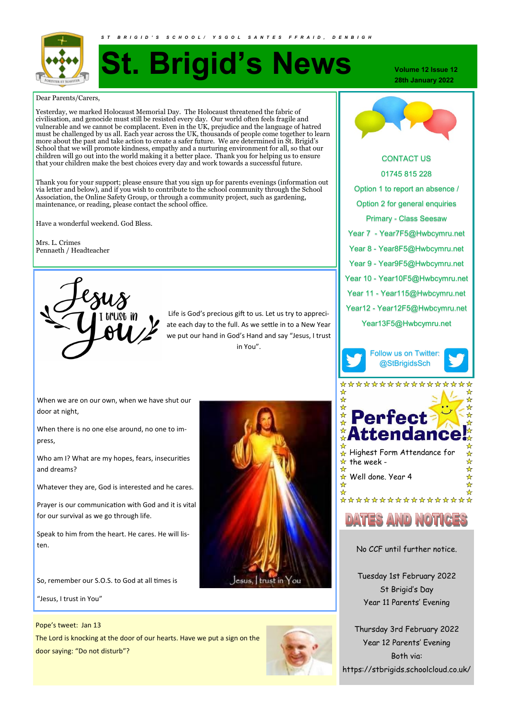

# **St. Brigid's News**

*S T B R I G I D ' S S C H O O L / Y S G O L S A N T E S F F R A I D , D E N B I G H*

Dear Parents/Carers,

Yesterday, we marked Holocaust Memorial Day. The Holocaust threatened the fabric of civilisation, and genocide must still be resisted every day. Our world often feels fragile and vulnerable and we cannot be complacent. Even in the UK, prejudice and the language of hatred must be challenged by us all. Each year across the UK, thousands of people come together to learn more about the past and take action to create a safer future. We are determined in St. Brigid's School that we will promote kindness, empathy and a nurturing environment for all, so that our children will go out into the world making it a better place. Thank you for helping us to ensure that your children make the best choices every day and work towards a successful future.

Thank you for your support; please ensure that you sign up for parents evenings (information out via letter and below), and if you wish to contribute to the school community through the School Association, the Online Safety Group, or through a community project, such as gardening, maintenance, or reading, please contact the school office.

Have a wonderful weekend. God Bless.

Mrs. L. Crimes Pennaeth / Headteacher



Life is God's precious gift to us. Let us try to appreciate each day to the full. As we settle in to a New Year we put our hand in God's Hand and say "Jesus, I trust in You".

When we are on our own, when we have shut our door at night,

When there is no one else around, no one to impress,

Who am I? What are my hopes, fears, insecurities and dreams?

Whatever they are, God is interested and he cares.

Prayer is our communication with God and it is vital for our survival as we go through life.

Speak to him from the heart. He cares. He will listen.

So, remember our S.O.S. to God at all times is

"Jesus, I trust in You"

#### Pope's tweet: Jan 13

The Lord is knocking at the door of our hearts. Have we put a sign on the door saying: "Do not disturb"?



**Volume 12 Issue 12 28th January 2022**



**KAID, DENBIGH** 

CONTACT US 01745 815 228 Option 1 to report an absence / Option 2 for general enquiries Primary - Class Seesaw Year 7 - Year7F5@Hwbcymru.net Year 8 - Year8F5@Hwbcymru.net Year 9 - Year9F5@Hwbcymru.net Year 10 - Year10F5@Hwbcymru.net Year 11 - Year115@Hwbcymru.net Year12 - Year12F5@Hwbcymru.net Year13F5@Hwbcymru.net







\*\*\*\*\*\*\*\*\*\*\*\*\*\*\*

# DATES AND NOTIGE

No CCF until further notice.

Tuesday 1st February 2022 St Brigid's Day Year 11 Parents' Evening

Thursday 3rd February 2022 Year 12 Parents' Evening Both via: https://stbrigids.schoolcloud.co.uk/

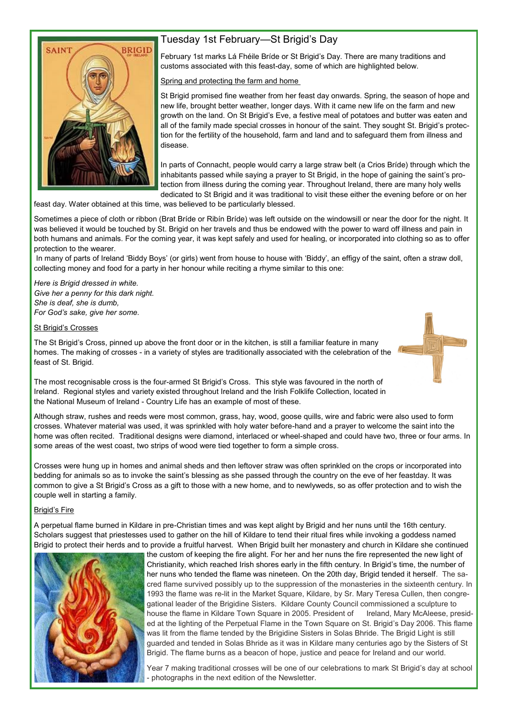

## Tuesday 1st February—St Brigid's Day

February 1st marks Lá Fhéile Bríde or St Brigid's Day. There are many traditions and customs associated with this feast-day, some of which are highlighted below.

Spring and protecting the farm and home

St Brigid promised fine weather from her feast day onwards. Spring, the season of hope and new life, brought better weather, longer days. With it came new life on the farm and new growth on the land. On St Brigid's Eve, a festive meal of potatoes and butter was eaten and all of the family made special crosses in honour of the saint. They sought St. Brigid's protection for the fertility of the household, farm and land and to safeguard them from illness and disease.

In parts of Connacht, people would carry a large straw belt (a Crios Bríde) through which the inhabitants passed while saying a prayer to St Brigid, in the hope of gaining the saint's protection from illness during the coming year. Throughout Ireland, there are many holy wells dedicated to St Brigid and it was traditional to visit these either the evening before or on her

feast day. Water obtained at this time, was believed to be particularly blessed.

Sometimes a piece of cloth or ribbon (Brat Bríde or Ribín Bríde) was left outside on the windowsill or near the door for the night. It was believed it would be touched by St. Brigid on her travels and thus be endowed with the power to ward off illness and pain in both humans and animals. For the coming year, it was kept safely and used for healing, or incorporated into clothing so as to offer protection to the wearer.

In many of parts of Ireland 'Biddy Boys' (or girls) went from house to house with 'Biddy', an effigy of the saint, often a straw doll, collecting money and food for a party in her honour while reciting a rhyme similar to this one:

*Here is Brigid dressed in white. Give her a penny for this dark night. She is deaf, she is dumb, For God's sake, give her some.* 

#### **St Brigid's Crosses**

The St Brigid's Cross, pinned up above the front door or in the kitchen, is still a familiar feature in many homes. The making of crosses - in a variety of styles are traditionally associated with the celebration of the feast of St. Brigid.

The most recognisable cross is the four-armed St Brigid's Cross. This style was favoured in the north of Ireland. Regional styles and variety existed throughout Ireland and the Irish Folklife Collection, located in the National Museum of Ireland - Country Life has an example of most of these.

Although straw, rushes and reeds were most common, grass, hay, wood, goose quills, wire and fabric were also used to form crosses. Whatever material was used, it was sprinkled with holy water before-hand and a prayer to welcome the saint into the home was often recited. Traditional designs were diamond, interlaced or wheel-shaped and could have two, three or four arms. In some areas of the west coast, two strips of wood were tied together to form a simple cross.

Crosses were hung up in homes and animal sheds and then leftover straw was often sprinkled on the crops or incorporated into bedding for animals so as to invoke the saint's blessing as she passed through the country on the eve of her feastday. It was common to give a St Brigid's Cross as a gift to those with a new home, and to newlyweds, so as offer protection and to wish the couple well in starting a family.

#### Brigid's Fire

A perpetual flame burned in Kildare in pre-Christian times and was kept alight by Brigid and her nuns until the 16th century. Scholars suggest that priestesses used to gather on the hill of Kildare to tend their ritual fires while invoking a goddess named Brigid to protect their herds and to provide a fruitful harvest. When Brigid built her monastery and church in Kildare she continued



the custom of keeping the fire alight. For her and her nuns the fire represented the new light of Christianity, which reached Irish shores early in the fifth century. In Brigid's time, the number of her nuns who tended the flame was nineteen. On the 20th day, Brigid tended it herself. The sacred flame survived possibly up to the suppression of the monasteries in the sixteenth century. In 1993 the flame was re-lit in the Market Square, Kildare, by Sr. Mary Teresa Cullen, then congregational leader of the Brigidine Sisters. Kildare County Council commissioned a sculpture to house the flame in Kildare Town Square in 2005. President of Ireland, Mary McAleese, presided at the lighting of the Perpetual Flame in the Town Square on St. Brigid's Day 2006. This flame was lit from the flame tended by the Brigidine Sisters in Solas Bhride. The Brigid Light is still guarded and tended in Solas Bhride as it was in Kildare many centuries ago by the Sisters of St Brigid. The flame burns as a beacon of hope, justice and peace for Ireland and our world.

Year 7 making traditional crosses will be one of our celebrations to mark St Brigid's day at school - photographs in the next edition of the Newsletter.